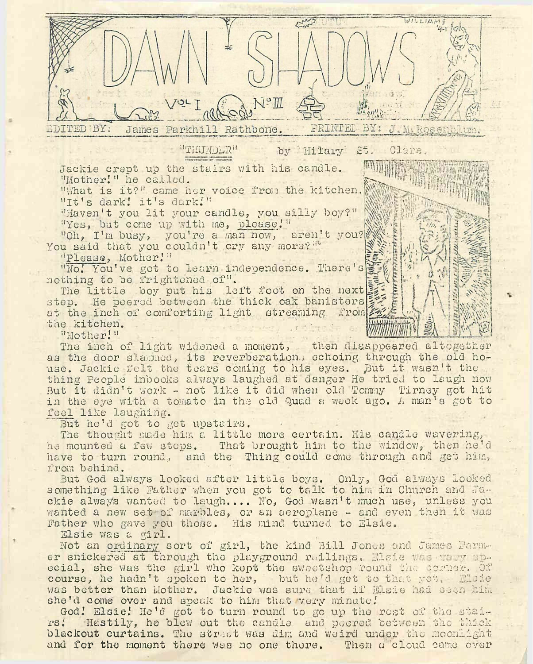VILLIAN PRINTEL BY: EDITED BY: James Parkhill Rathbone. J. M. ROSSELLUR. "THUNDLR" by Hilary St. Clare.

Jackie crept up the stairs with his candle. Will

"What is it?" came her voice from the kitchen. "It's dark! it's dark!"

"Haven't you lit your candle, you silly boy?" "Yes, but come up with me, please."

"Oh, I'm busy, you're a man now, aren't you? You said that you couldn't cry any more?<sup>""</sup>

"Please, Mother.'"

"No.' You've got to learn independence. There's nothing to be frightened of".

The little boy put his left foot on the next step. He peered between the thick oak banisters at the inch of comforting light streaming from? the kitchen.

"Mother!"

The inch of light widened a moment, then disappeared altogether as the door slammed, its reverberation. echoing through the old house. Jackie felt the tears coming to his eyes. But it wasn't the thing People inbooks always laughed at danger He tried to laugh now But it didn't work - not like it did when old Tommy Tirney got hit in the eye with a tomato in the old Quad a week ago. A man's got to feel like laughing.

But he'd got to get upstairs.

The thought made him a little more certain. His candle wavering, he mounted a few steps. That brought him to the window, then he'<sup>d</sup> have to turn round, and the Thing could come through and get him, from behind.

But God always looked after little boys. Only, God always looked something like Father when you got to talk to him in Church and Jackie always wanted to laugh.,.. No, God wasn'<sup>t</sup> much use, unless you wanted a new set of marbles, or an aeroplane - and even then it was Father who gave you those. His mind turned to Elsie.

Elsie was a girl.

Not an ordinary sort of girl, the kind Bill Jones and James Parmer snickered at through the playground railings. Elsie was they apecial, she was the girl who kept the sweetshop round the corner. Of course, he hadn't spoken to her, but he'd get to that yot. Elsie was better than Mother. Jackie was sure that if Elsie had seen him she'd come over and speak to him that very minute!

God.' Elsie.' He'<sup>d</sup> got to turn round to go up the rest of the stairs; Hastily, ho blew out the candle and peered between the thick blackout curtains. The street was dim and weird under the moonlight and for the moment there was no one there. Then a cloud came over